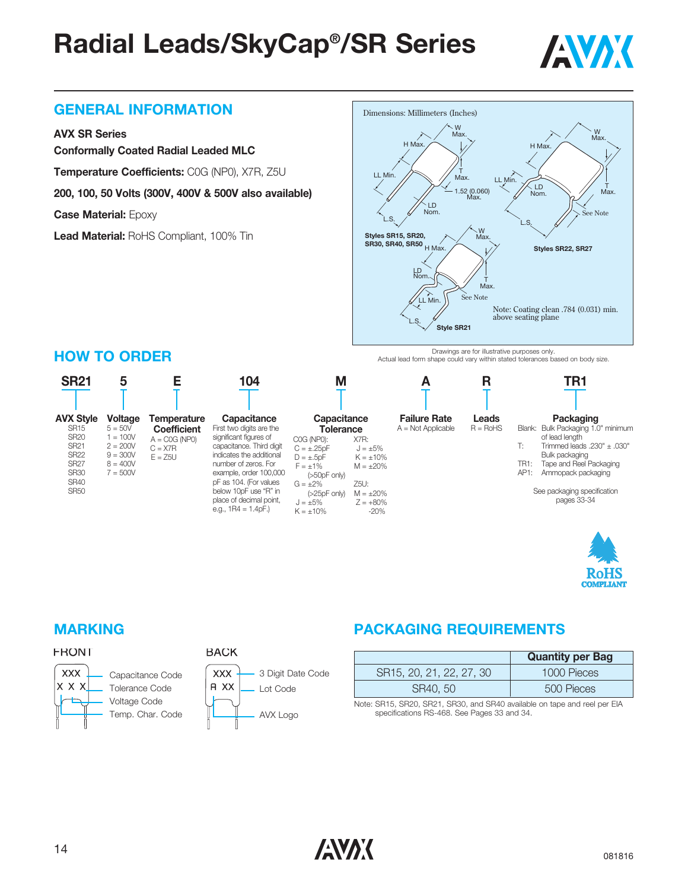

#### **GENERAL INFORMATION**

#### **AVX SR Series**

**Conformally Coated Radial Leaded MLC**

**Temperature Coefficients:** C0G (NP0), X7R, Z5U

**200, 100, 50 Volts (300V, 400V & 500V also available)**

**Case Material:** Epoxy

**HOW TO ORDER**

**Lead Material:** RoHS Compliant, 100% Tin



Drawings are for illustrative purposes only. Actual lead form shape could vary within stated tolerances based on body size.





#### **FRONT**



**BACK** 

#### **MARKING PACKAGING REQUIREMENTS**

|                          | <b>Quantity per Bag</b> |
|--------------------------|-------------------------|
| SR15, 20, 21, 22, 27, 30 | 1000 Pieces             |
| SR40, 50                 | 500 Pieces              |

Note: SR15, SR20, SR21, SR30, and SR40 available on tape and reel per EIA specifications RS-468. See Pages 33 and 34.

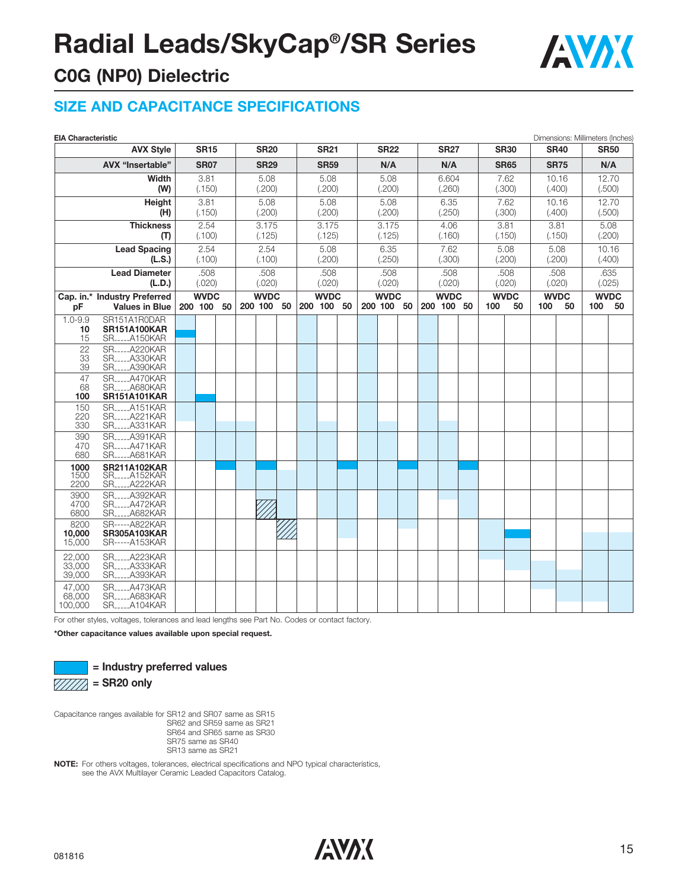

### **C0G (NP0) Dielectric**

#### **SIZE AND CAPACITANCE SPECIFICATIONS**

| <b>AVX Style</b><br><b>SR30</b><br><b>SR15</b><br><b>SR20</b><br><b>SR21</b><br><b>SR22</b><br><b>SR27</b><br><b>SR40</b><br><b>AVX "Insertable"</b><br><b>SR07</b><br><b>SR29</b><br>N/A<br>N/A<br><b>SR59</b><br><b>SR65</b><br><b>SR75</b><br>3.81<br>5.08<br>6.604<br>Width<br>5.08<br>5.08<br>7.62<br>10.16<br>(.300)<br>(W)<br>(.150)<br>(.200)<br>(.200)<br>(.200)<br>(.260)<br>(.400)<br>5.08<br>3.81<br>5.08<br>5.08<br>6.35<br>7.62<br>10.16<br>Height<br>(.200)<br>(.200)<br>(.200)<br>(.250)<br>(.300)<br>(.400)<br>(.500)<br>(H)<br>(.150)<br>3.175<br>3.175<br><b>Thickness</b><br>2.54<br>3.175<br>4.06<br>3.81<br>3.81<br>(.100)<br>(.125)<br>(.125)<br>(.125)<br>(.160)<br>(.150)<br>(.150)<br>(T)<br>2.54<br>2.54<br>7.62<br><b>Lead Spacing</b><br>5.08<br>6.35<br>5.08<br>5.08<br>(.250)<br>(L.S.)<br>(.100)<br>(.100)<br>(.200)<br>(.300)<br>(.200)<br>(.200)<br>(.400)<br><b>Lead Diameter</b><br>.508<br>.508<br>.508<br>.508<br>.508<br>.508<br>.508<br>(L.D.)<br>(.020)<br>(.020)<br>(.020)<br>(.020)<br>(.020)<br>(.020)<br>(.020)<br>Cap. in.* Industry Preferred<br><b>WVDC</b><br><b>WVDC</b><br><b>WVDC</b><br><b>WVDC</b><br><b>WVDC</b><br><b>WVDC</b><br><b>WVDC</b><br><b>WVDC</b><br>200 100 50<br>200 100 50<br>200 100 50<br>200 100 50<br>200 100 50<br>100<br>50<br>100<br>50<br>100<br><b>Values in Blue</b><br>рF | Dimensions: Millimeters (Inches) |  |
|------------------------------------------------------------------------------------------------------------------------------------------------------------------------------------------------------------------------------------------------------------------------------------------------------------------------------------------------------------------------------------------------------------------------------------------------------------------------------------------------------------------------------------------------------------------------------------------------------------------------------------------------------------------------------------------------------------------------------------------------------------------------------------------------------------------------------------------------------------------------------------------------------------------------------------------------------------------------------------------------------------------------------------------------------------------------------------------------------------------------------------------------------------------------------------------------------------------------------------------------------------------------------------------------------------------------------------------------------------|----------------------------------|--|
|                                                                                                                                                                                                                                                                                                                                                                                                                                                                                                                                                                                                                                                                                                                                                                                                                                                                                                                                                                                                                                                                                                                                                                                                                                                                                                                                                            | <b>SR50</b>                      |  |
|                                                                                                                                                                                                                                                                                                                                                                                                                                                                                                                                                                                                                                                                                                                                                                                                                                                                                                                                                                                                                                                                                                                                                                                                                                                                                                                                                            | N/A                              |  |
|                                                                                                                                                                                                                                                                                                                                                                                                                                                                                                                                                                                                                                                                                                                                                                                                                                                                                                                                                                                                                                                                                                                                                                                                                                                                                                                                                            | 12.70                            |  |
|                                                                                                                                                                                                                                                                                                                                                                                                                                                                                                                                                                                                                                                                                                                                                                                                                                                                                                                                                                                                                                                                                                                                                                                                                                                                                                                                                            | (.500)                           |  |
|                                                                                                                                                                                                                                                                                                                                                                                                                                                                                                                                                                                                                                                                                                                                                                                                                                                                                                                                                                                                                                                                                                                                                                                                                                                                                                                                                            | 12.70                            |  |
|                                                                                                                                                                                                                                                                                                                                                                                                                                                                                                                                                                                                                                                                                                                                                                                                                                                                                                                                                                                                                                                                                                                                                                                                                                                                                                                                                            |                                  |  |
|                                                                                                                                                                                                                                                                                                                                                                                                                                                                                                                                                                                                                                                                                                                                                                                                                                                                                                                                                                                                                                                                                                                                                                                                                                                                                                                                                            | 5.08                             |  |
|                                                                                                                                                                                                                                                                                                                                                                                                                                                                                                                                                                                                                                                                                                                                                                                                                                                                                                                                                                                                                                                                                                                                                                                                                                                                                                                                                            | (.200)                           |  |
|                                                                                                                                                                                                                                                                                                                                                                                                                                                                                                                                                                                                                                                                                                                                                                                                                                                                                                                                                                                                                                                                                                                                                                                                                                                                                                                                                            | 10.16                            |  |
|                                                                                                                                                                                                                                                                                                                                                                                                                                                                                                                                                                                                                                                                                                                                                                                                                                                                                                                                                                                                                                                                                                                                                                                                                                                                                                                                                            |                                  |  |
|                                                                                                                                                                                                                                                                                                                                                                                                                                                                                                                                                                                                                                                                                                                                                                                                                                                                                                                                                                                                                                                                                                                                                                                                                                                                                                                                                            | .635<br>(.025)                   |  |
|                                                                                                                                                                                                                                                                                                                                                                                                                                                                                                                                                                                                                                                                                                                                                                                                                                                                                                                                                                                                                                                                                                                                                                                                                                                                                                                                                            |                                  |  |
|                                                                                                                                                                                                                                                                                                                                                                                                                                                                                                                                                                                                                                                                                                                                                                                                                                                                                                                                                                                                                                                                                                                                                                                                                                                                                                                                                            | 50                               |  |
| $1.0 - 9.9$<br>SR151A1R0DAR                                                                                                                                                                                                                                                                                                                                                                                                                                                                                                                                                                                                                                                                                                                                                                                                                                                                                                                                                                                                                                                                                                                                                                                                                                                                                                                                |                                  |  |
| <b>SR151A100KAR</b><br>10                                                                                                                                                                                                                                                                                                                                                                                                                                                                                                                                                                                                                                                                                                                                                                                                                                                                                                                                                                                                                                                                                                                                                                                                                                                                                                                                  |                                  |  |
| 15<br><b>SRA150KAR</b>                                                                                                                                                                                                                                                                                                                                                                                                                                                                                                                                                                                                                                                                                                                                                                                                                                                                                                                                                                                                                                                                                                                                                                                                                                                                                                                                     |                                  |  |
| SRA220KAR<br>22<br>33<br>SRA330KAR                                                                                                                                                                                                                                                                                                                                                                                                                                                                                                                                                                                                                                                                                                                                                                                                                                                                                                                                                                                                                                                                                                                                                                                                                                                                                                                         |                                  |  |
| SR_____A390KAR<br>39                                                                                                                                                                                                                                                                                                                                                                                                                                                                                                                                                                                                                                                                                                                                                                                                                                                                                                                                                                                                                                                                                                                                                                                                                                                                                                                                       |                                  |  |
| SR.,   4470KAR<br>47                                                                                                                                                                                                                                                                                                                                                                                                                                                                                                                                                                                                                                                                                                                                                                                                                                                                                                                                                                                                                                                                                                                                                                                                                                                                                                                                       |                                  |  |
| SR.,,,,,,A680KAR<br>68<br>100<br><b>SR151A101KAR</b>                                                                                                                                                                                                                                                                                                                                                                                                                                                                                                                                                                                                                                                                                                                                                                                                                                                                                                                                                                                                                                                                                                                                                                                                                                                                                                       |                                  |  |
| <b>SR</b> _____A151KAR<br>150                                                                                                                                                                                                                                                                                                                                                                                                                                                                                                                                                                                                                                                                                                                                                                                                                                                                                                                                                                                                                                                                                                                                                                                                                                                                                                                              |                                  |  |
| 220<br><b>SRA221KAR</b>                                                                                                                                                                                                                                                                                                                                                                                                                                                                                                                                                                                                                                                                                                                                                                                                                                                                                                                                                                                                                                                                                                                                                                                                                                                                                                                                    |                                  |  |
| SRA331KAR<br>330                                                                                                                                                                                                                                                                                                                                                                                                                                                                                                                                                                                                                                                                                                                                                                                                                                                                                                                                                                                                                                                                                                                                                                                                                                                                                                                                           |                                  |  |
| 390<br><b>SRA391KAR</b><br><b>SRA471KAR</b>                                                                                                                                                                                                                                                                                                                                                                                                                                                                                                                                                                                                                                                                                                                                                                                                                                                                                                                                                                                                                                                                                                                                                                                                                                                                                                                |                                  |  |
| 470<br>680<br>SR_____A681KAR                                                                                                                                                                                                                                                                                                                                                                                                                                                                                                                                                                                                                                                                                                                                                                                                                                                                                                                                                                                                                                                                                                                                                                                                                                                                                                                               |                                  |  |
| 1000<br><b>SR211A102KAR</b>                                                                                                                                                                                                                                                                                                                                                                                                                                                                                                                                                                                                                                                                                                                                                                                                                                                                                                                                                                                                                                                                                                                                                                                                                                                                                                                                |                                  |  |
| 1500<br><b>SRA152KAR</b>                                                                                                                                                                                                                                                                                                                                                                                                                                                                                                                                                                                                                                                                                                                                                                                                                                                                                                                                                                                                                                                                                                                                                                                                                                                                                                                                   |                                  |  |
| <b>SRA222KAR</b><br>2200<br>SRA392KAR<br>3900                                                                                                                                                                                                                                                                                                                                                                                                                                                                                                                                                                                                                                                                                                                                                                                                                                                                                                                                                                                                                                                                                                                                                                                                                                                                                                              |                                  |  |
| <b>SR</b> <sub>-----</sub> A472KAR<br>4700                                                                                                                                                                                                                                                                                                                                                                                                                                                                                                                                                                                                                                                                                                                                                                                                                                                                                                                                                                                                                                                                                                                                                                                                                                                                                                                 |                                  |  |
| 6800<br>SRA682KAR                                                                                                                                                                                                                                                                                                                                                                                                                                                                                                                                                                                                                                                                                                                                                                                                                                                                                                                                                                                                                                                                                                                                                                                                                                                                                                                                          |                                  |  |
| 8200<br>SR-----A822KAR                                                                                                                                                                                                                                                                                                                                                                                                                                                                                                                                                                                                                                                                                                                                                                                                                                                                                                                                                                                                                                                                                                                                                                                                                                                                                                                                     |                                  |  |
| 10,000<br><b>SR305A103KAR</b><br>15,000<br><b>SR-----A153KAR</b>                                                                                                                                                                                                                                                                                                                                                                                                                                                                                                                                                                                                                                                                                                                                                                                                                                                                                                                                                                                                                                                                                                                                                                                                                                                                                           |                                  |  |
| SR.,  A223KAR<br>22,000                                                                                                                                                                                                                                                                                                                                                                                                                                                                                                                                                                                                                                                                                                                                                                                                                                                                                                                                                                                                                                                                                                                                                                                                                                                                                                                                    |                                  |  |
| 33,000<br><b>SRA333KAR</b>                                                                                                                                                                                                                                                                                                                                                                                                                                                                                                                                                                                                                                                                                                                                                                                                                                                                                                                                                                                                                                                                                                                                                                                                                                                                                                                                 |                                  |  |
| SRA393KAR<br>39,000                                                                                                                                                                                                                                                                                                                                                                                                                                                                                                                                                                                                                                                                                                                                                                                                                                                                                                                                                                                                                                                                                                                                                                                                                                                                                                                                        |                                  |  |
| <b>SR</b> ______A473KAR<br>47,000                                                                                                                                                                                                                                                                                                                                                                                                                                                                                                                                                                                                                                                                                                                                                                                                                                                                                                                                                                                                                                                                                                                                                                                                                                                                                                                          |                                  |  |
| 68,000<br>SRA683KAR<br><b>SRA104KAR</b><br>100,000                                                                                                                                                                                                                                                                                                                                                                                                                                                                                                                                                                                                                                                                                                                                                                                                                                                                                                                                                                                                                                                                                                                                                                                                                                                                                                         |                                  |  |

For other styles, voltages, tolerances and lead lengths see Part No. Codes or contact factory.

**\*Other capacitance values available upon special request.**



Capacitance ranges available for SR12 and SR07 same as SR15 SR62 and SR59 same as SR21 SR64 and SR65 same as SR30 SR75 same as SR40 SR13 same as SR21

**NOTE:** For others voltages, tolerances, electrical specifications and NPO typical characteristics, see the AVX Multilayer Ceramic Leaded Capacitors Catalog.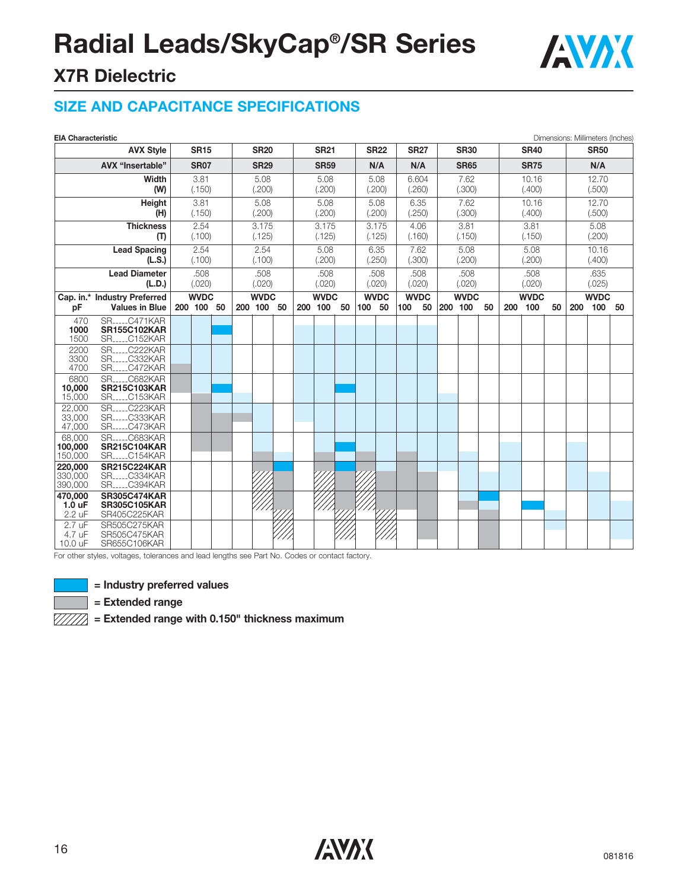

### **X7R Dielectric**

### **SIZE AND CAPACITANCE SPECIFICATIONS**

| <b>EIA Characteristic</b>                                                              |                                                                               |                |                |                 |                |                 |                |                 |                |                                  |               |                                  |                |                |                |                |                 |                |             |    |                 | Dimensions: Millimeters (Inches) |    |
|----------------------------------------------------------------------------------------|-------------------------------------------------------------------------------|----------------|----------------|-----------------|----------------|-----------------|----------------|-----------------|----------------|----------------------------------|---------------|----------------------------------|----------------|----------------|----------------|----------------|-----------------|----------------|-------------|----|-----------------|----------------------------------|----|
| <b>AVX Style</b><br><b>SR15</b>                                                        |                                                                               |                | <b>SR20</b>    |                 | <b>SR21</b>    |                 |                |                 | <b>SR22</b>    |                                  | <b>SR27</b>   |                                  | <b>SR30</b>    |                | <b>SR40</b>    |                |                 | <b>SR50</b>    |             |    |                 |                                  |    |
|                                                                                        | AVX "Insertable"<br><b>SR07</b>                                               |                | <b>SR29</b>    |                 | <b>SR59</b>    |                 |                | N/A             |                | N/A                              | <b>SR65</b>   |                                  |                | <b>SR75</b>    |                |                | N/A             |                |             |    |                 |                                  |    |
| Width                                                                                  |                                                                               |                | 3.81           |                 | 5.08           |                 | 5.08           |                 | 5.08           |                                  | 6.604<br>7.62 |                                  |                | 10.16          |                |                | 12.70           |                |             |    |                 |                                  |    |
| (W)                                                                                    |                                                                               |                | (.150)         |                 | (.200)         |                 | (.200)         |                 | (.200)         |                                  |               | (.260)                           |                | (.300)         |                |                | (.400)          |                | (.500)      |    |                 |                                  |    |
|                                                                                        | Height<br>(H)                                                                 |                | 3.81<br>(.150) |                 |                | 5.08<br>(.200)  |                |                 | 5.08<br>(.200) |                                  |               | 5.08<br>(.200)                   |                | 6.35<br>(.250) |                | 7.62<br>(.300) | 10.16<br>(.400) |                |             |    | 12.70<br>(.500) |                                  |    |
| <b>Thickness</b><br>(T)                                                                |                                                                               | 2.54<br>(.100) |                | 3.175<br>(.125) |                | 3.175<br>(.125) |                | 3.175<br>(.125) |                | 3.81<br>4.06<br>(.160)<br>(.150) |               |                                  | 3.81<br>(.150) |                |                | 5.08<br>(.200) |                 |                |             |    |                 |                                  |    |
| <b>Lead Spacing</b>                                                                    |                                                                               |                | 2.54           |                 |                | 2.54            |                |                 | 5.08           |                                  |               | 6.35                             |                | 7.62           |                | 5.08           |                 |                | 5.08        |    | 10.16           |                                  |    |
|                                                                                        | (L.S.)                                                                        |                | (.100)         |                 |                | (.100)          |                |                 | (.200)         |                                  |               | (.250)                           |                | (.300)         |                | (.200)         |                 |                | (.200)      |    | (.400)          |                                  |    |
| <b>Lead Diameter</b><br>(L.D.)                                                         |                                                                               |                | .508<br>(.020) |                 | .508<br>(.020) |                 | .508<br>(.020) |                 |                | .508<br>(.020)                   |               | .508<br>.508<br>(.020)<br>(.020) |                |                | .508<br>(.020) |                |                 | .635<br>(.025) |             |    |                 |                                  |    |
| Cap. in.* Industry Preferred                                                           |                                                                               | <b>WVDC</b>    |                |                 | <b>WVDC</b>    |                 |                | <b>WVDC</b>     |                |                                  |               | <b>WVDC</b>                      | <b>WVDC</b>    |                | <b>WVDC</b>    |                |                 |                | <b>WVDC</b> |    | <b>WVDC</b>     |                                  |    |
| рF                                                                                     | <b>Values in Blue</b>                                                         |                | 200 100 50     |                 |                | 200 100 50      |                |                 | 200 100        | 50                               | 100 50        |                                  | 100            | 50             | 200 100        |                | 50              | 200            | 100         | 50 | 200             | 100                              | 50 |
| 470<br>1000<br>1500                                                                    | <b>SRC471KAR</b><br><b>SR155C102KAR</b><br><b>SRC152KAR</b>                   |                |                |                 |                |                 |                |                 |                |                                  |               |                                  |                |                |                |                |                 |                |             |    |                 |                                  |    |
| 2200<br>3300<br>4700                                                                   | <b>SRC222KAR</b><br><b>SRC332KAR</b><br><b>SRC472KAR</b>                      |                |                |                 |                |                 |                |                 |                |                                  |               |                                  |                |                |                |                |                 |                |             |    |                 |                                  |    |
| 6800<br>10,000<br>15,000                                                               | <b>SR</b> C682KAR<br><b>SR215C103KAR</b><br><b>SR</b> <sub>----</sub> C153KAR |                |                |                 |                |                 |                |                 |                |                                  |               |                                  |                |                |                |                |                 |                |             |    |                 |                                  |    |
| <b>SRC223KAR</b><br>22,000<br>33,000<br><b>SRC333KAR</b><br>47,000<br><b>SRC473KAR</b> |                                                                               |                |                |                 |                |                 |                |                 |                |                                  |               |                                  |                |                |                |                |                 |                |             |    |                 |                                  |    |
| 68,000<br>100,000<br>150,000                                                           | <b>SR</b><br>C683KAR<br><b>SR215C104KAR</b><br><b>SRC154KAR</b>               |                |                |                 |                |                 |                |                 |                |                                  |               |                                  |                |                |                |                |                 |                |             |    |                 |                                  |    |
| 220,000<br>330,000<br>390,000                                                          | <b>SR215C224KAR</b><br><b>SRC334KAR</b><br><b>SR</b> <sub>-----</sub> C394KAR |                |                |                 |                |                 |                |                 |                |                                  |               |                                  |                |                |                |                |                 |                |             |    |                 |                                  |    |
| 470,000<br>1.0 uF<br>2.2 uF                                                            | <b>SR305C474KAR</b><br><b>SR305C105KAR</b><br>SR405C225KAR                    |                |                |                 |                |                 |                |                 |                |                                  |               |                                  |                |                |                |                |                 |                |             |    |                 |                                  |    |
| 2.7 uF<br>4.7 uF<br>10.0 uF                                                            | SR505C275KAR<br>SR505C475KAR<br>SR655C106KAR                                  |                |                |                 |                |                 |                |                 |                |                                  |               |                                  |                |                |                |                |                 |                |             |    |                 |                                  |    |

For other styles, voltages, tolerances and lead lengths see Part No. Codes or contact factory.



**= Industry preferred values**

**= Extended range**

**= Extended range with 0.150" thickness maximum**